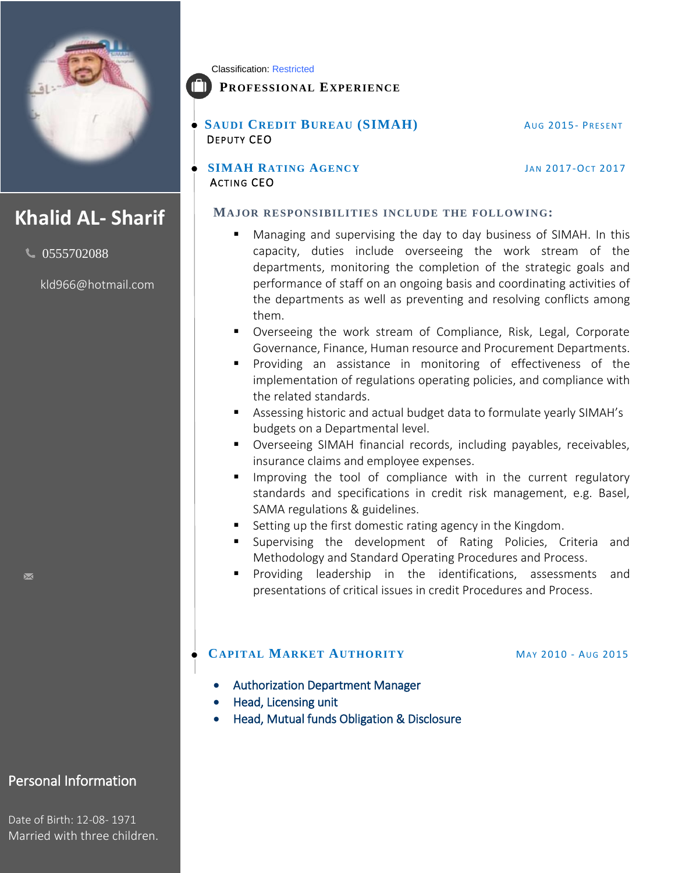

# **Khalid AL- Sharif**

 $\bigcup$  0555702088

[kld966@hotmail.com](mailto:kld966@hotmail.com)

Classification: Restricted

### **PROFESSIONAL EXPERIENCE**

**SAUDI CREDIT BUREAU (SIMAH)** AUG 2015- PRESENT DEPUTY CEO

**SIMAH RATING AGENCY** JAN 2017-OCT 2017 ACTING CEO

**MAJOR RESPONSIBILITIES INCLUDE THE FOLLOWING:**

- Managing and supervising the day to day business of SIMAH. In this capacity, duties include overseeing the work stream of the departments, monitoring the completion of the strategic goals and performance of staff on an ongoing basis and coordinating activities of the departments as well as preventing and resolving conflicts among them.
- Overseeing the work stream of Compliance, Risk, Legal, Corporate Governance, Finance, Human resource and Procurement Departments.
- **Providing an assistance in monitoring of effectiveness of the** implementation of regulations operating policies, and compliance with the related standards.
- Assessing historic and actual budget data to formulate yearly SIMAH's budgets on a Departmental level.
- Overseeing SIMAH financial records, including payables, receivables, insurance claims and employee expenses.
- Improving the tool of compliance with in the current regulatory standards and specifications in credit risk management, e.g. Basel, SAMA regulations & guidelines.
- Setting up the first domestic rating agency in the Kingdom.
- Supervising the development of Rating Policies, Criteria and Methodology and Standard Operating Procedures and Process.
- Providing leadership in the identifications, assessments and presentations of critical issues in credit Procedures and Process.

### **CAPITAL MARKET AUTHORITY** MAY 2010 - AUG 2015

- Authorization Department Manager
- Head, Licensing unit
- Head, Mutual funds Obligation & Disclosure

Personal Information

Date of Birth: 12-08- 1971 Married with three children.

 $\overline{\mathbf{M}}$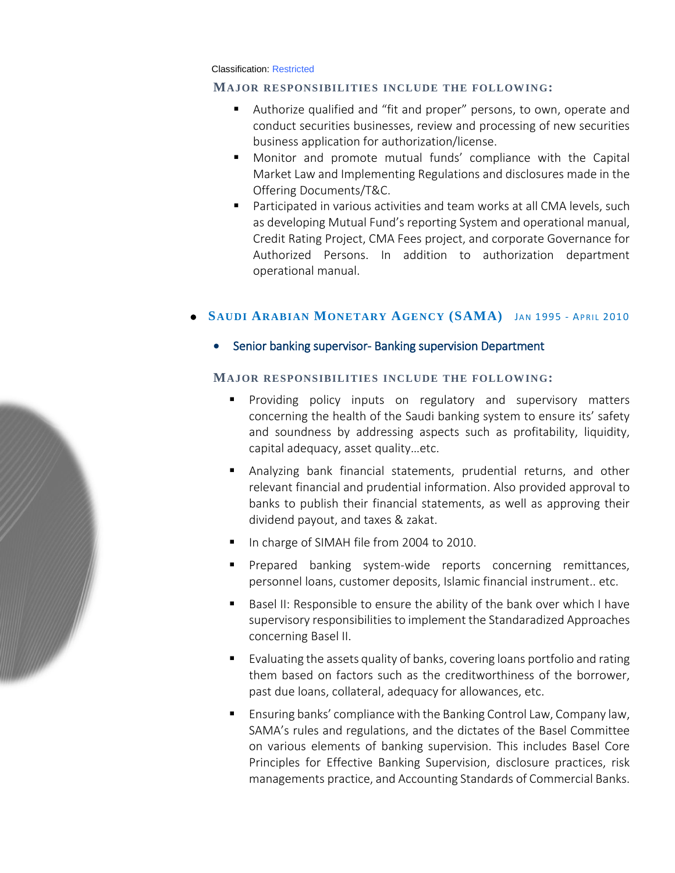Classification: Restricted

#### **MAJOR RESPONSIBILITIES INCLUDE THE FOLLOWING:**

- Authorize qualified and "fit and proper" persons, to own, operate and conduct securities businesses, review and processing of new securities business application for authorization/license.
- Monitor and promote mutual funds' compliance with the Capital Market Law and Implementing Regulations and disclosures made in the Offering Documents/T&C.
- Participated in various activities and team works at all CMA levels, such as developing Mutual Fund's reporting System and operational manual, Credit Rating Project, CMA Fees project, and corporate Governance for Authorized Persons. In addition to authorization department operational manual.

#### **• SAUDI ARABIAN MONETARY AGENCY (SAMA)** JAN 1995 - APRIL 2010

Senior banking supervisor- Banking supervision Department

#### **MAJOR RESPONSIBILITIES INCLUDE THE FOLLOWING:**

- **Providing policy inputs on regulatory and supervisory matters** concerning the health of the Saudi banking system to ensure its' safety and soundness by addressing aspects such as profitability, liquidity, capital adequacy, asset quality…etc.
- Analyzing bank financial statements, prudential returns, and other relevant financial and prudential information. Also provided approval to banks to publish their financial statements, as well as approving their dividend payout, and taxes & zakat.
- In charge of SIMAH file from 2004 to 2010.
- **Prepared banking system-wide reports concerning remittances,** personnel loans, customer deposits, Islamic financial instrument.. etc.
- Basel II: Responsible to ensure the ability of the bank over which I have supervisory responsibilities to implement the Standaradized Approaches concerning Basel II.
- Evaluating the assets quality of banks, covering loans portfolio and rating them based on factors such as the creditworthiness of the borrower, past due loans, collateral, adequacy for allowances, etc.
- Ensuring banks' compliance with the Banking Control Law, Company law, SAMA's rules and regulations, and the dictates of the Basel Committee on various elements of banking supervision. This includes Basel Core Principles for Effective Banking Supervision, disclosure practices, risk managements practice, and Accounting Standards of Commercial Banks.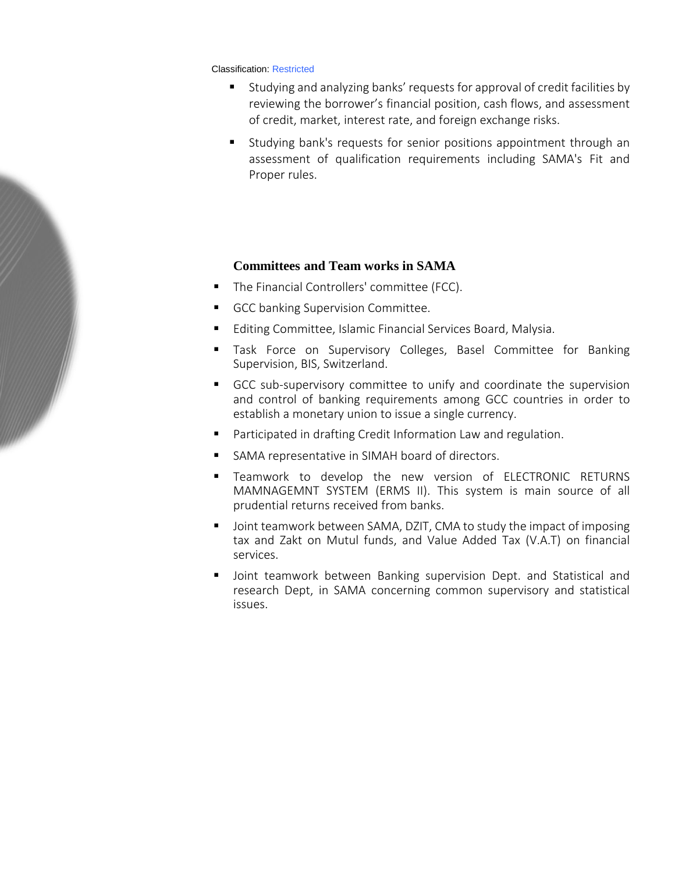Classification: Restricted

- Studying and analyzing banks' requests for approval of credit facilities by reviewing the borrower's financial position, cash flows, and assessment of credit, market, interest rate, and foreign exchange risks.
- Studying bank's requests for senior positions appointment through an assessment of qualification requirements including SAMA's Fit and Proper rules.

#### **Committees and Team works in SAMA**

- **The Financial Controllers' committee (FCC).**
- GCC banking Supervision Committee.
- Editing Committee, Islamic Financial Services Board, Malysia.
- **Task Force on Supervisory Colleges, Basel Committee for Banking** Supervision, BIS, Switzerland.
- GCC sub-supervisory committee to unify and coordinate the supervision and control of banking requirements among GCC countries in order to establish a monetary union to issue a single currency.
- Participated in drafting Credit Information Law and regulation.
- SAMA representative in SIMAH board of directors.
- Teamwork to develop the new version of ELECTRONIC RETURNS MAMNAGEMNT SYSTEM (ERMS II). This system is main source of all prudential returns received from banks.
- **DEDUAL THE STATE OF STATE OF STATE IS A STATE IMAGE IN STATE IMAGES** Joint teamwork between SAMA, DZIT, CMA to study the imposing tax and Zakt on Mutul funds, and Value Added Tax (V.A.T) on financial services.
- Joint teamwork between Banking supervision Dept. and Statistical and research Dept, in SAMA concerning common supervisory and statistical issues.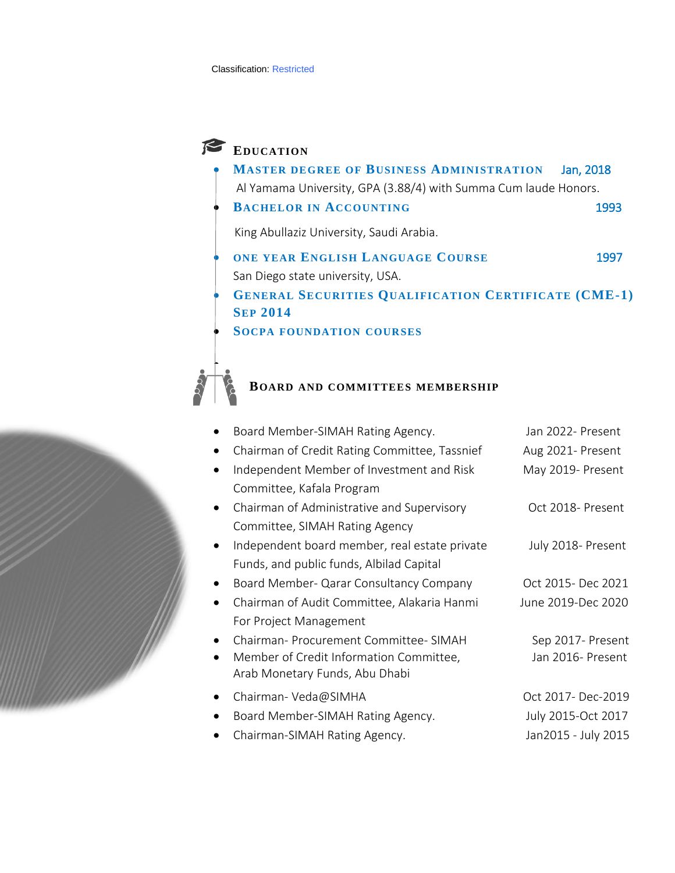## **EDUCATION**

F

- **MASTER DEGREE OF BUSINESS ADMINISTRATION** Jan, 2018 Al Yamama University, GPA (3.88/4) with Summa Cum laude Honors.
- **BACHELOR IN ACCOUNTING** 1993

King Abullaziz University, Saudi Arabia.

- **ONE YEAR ENGLISH LANGUAGE COURSE** 1997 San Diego state university, USA.
- **GENERAL SECURITIES QUALIFICATION CERTIFICATE (CME-1) SEP 2014**
- **SOCPA FOUNDATION COURSES**

# **BOARD AND COMMITTEES MEMBERSHIP**

| Board Member-SIMAH Rating Agency.                          | Jan 2022- Present   |
|------------------------------------------------------------|---------------------|
| Chairman of Credit Rating Committee, Tassnief<br>$\bullet$ | Aug 2021- Present   |
| Independent Member of Investment and Risk                  | May 2019- Present   |
| Committee, Kafala Program                                  |                     |
| Chairman of Administrative and Supervisory<br>$\bullet$    | Oct 2018- Present   |
| Committee, SIMAH Rating Agency                             |                     |
| Independent board member, real estate private<br>$\bullet$ | July 2018- Present  |
| Funds, and public funds, Albilad Capital                   |                     |
| Board Member- Qarar Consultancy Company<br>$\bullet$       | Oct 2015- Dec 2021  |
| Chairman of Audit Committee, Alakaria Hanmi<br>$\bullet$   | June 2019-Dec 2020  |
| For Project Management                                     |                     |
| Chairman- Procurement Committee- SIMAH                     | Sep 2017- Present   |
| Member of Credit Information Committee,                    | Jan 2016- Present   |
| Arab Monetary Funds, Abu Dhabi                             |                     |
| Chairman-Veda@SIMHA<br>$\bullet$                           | Oct 2017- Dec-2019  |
| Board Member-SIMAH Rating Agency.                          | July 2015-Oct 2017  |
| Chairman-SIMAH Rating Agency.                              | Jan2015 - July 2015 |